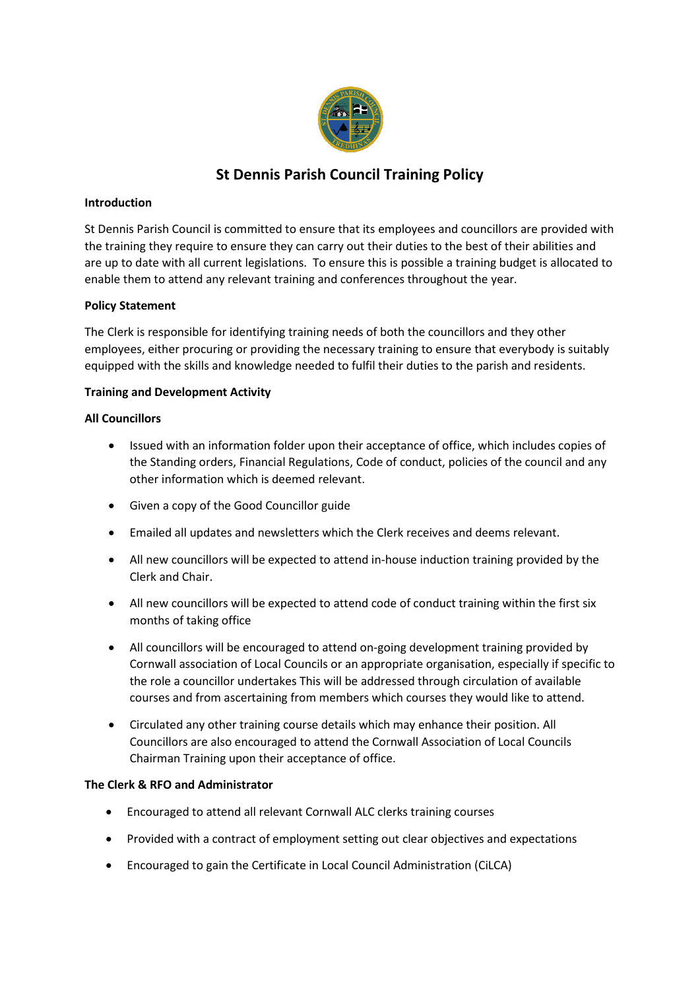

# **St Dennis Parish Council Training Policy**

## **Introduction**

St Dennis Parish Council is committed to ensure that its employees and councillors are provided with the training they require to ensure they can carry out their duties to the best of their abilities and are up to date with all current legislations. To ensure this is possible a training budget is allocated to enable them to attend any relevant training and conferences throughout the year.

## **Policy Statement**

The Clerk is responsible for identifying training needs of both the councillors and they other employees, either procuring or providing the necessary training to ensure that everybody is suitably equipped with the skills and knowledge needed to fulfil their duties to the parish and residents.

## **Training and Development Activity**

## **All Councillors**

- Issued with an information folder upon their acceptance of office, which includes copies of the Standing orders, Financial Regulations, Code of conduct, policies of the council and any other information which is deemed relevant.
- Given a copy of the Good Councillor guide
- Emailed all updates and newsletters which the Clerk receives and deems relevant.
- All new councillors will be expected to attend in-house induction training provided by the Clerk and Chair.
- All new councillors will be expected to attend code of conduct training within the first six months of taking office
- All councillors will be encouraged to attend on-going development training provided by Cornwall association of Local Councils or an appropriate organisation, especially if specific to the role a councillor undertakes This will be addressed through circulation of available courses and from ascertaining from members which courses they would like to attend.
- Circulated any other training course details which may enhance their position. All Councillors are also encouraged to attend the Cornwall Association of Local Councils Chairman Training upon their acceptance of office.

#### **The Clerk & RFO and Administrator**

- Encouraged to attend all relevant Cornwall ALC clerks training courses
- Provided with a contract of employment setting out clear objectives and expectations
- Encouraged to gain the Certificate in Local Council Administration (CiLCA)